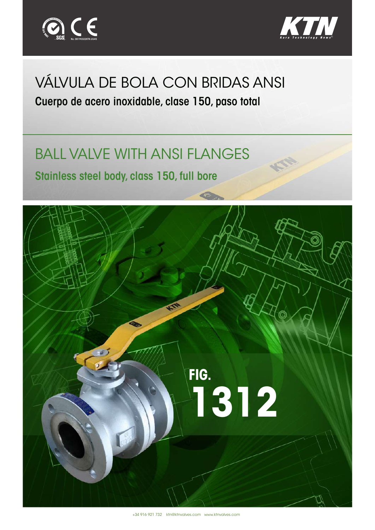



## VÁLVULA DE BOLA CON BRIDAS ANSI

Cuerpo de acero inoxidable, clase 150, paso total

## BALL VALVE WITH ANSI FLANGES

Stainless steel body, class 150, full bore